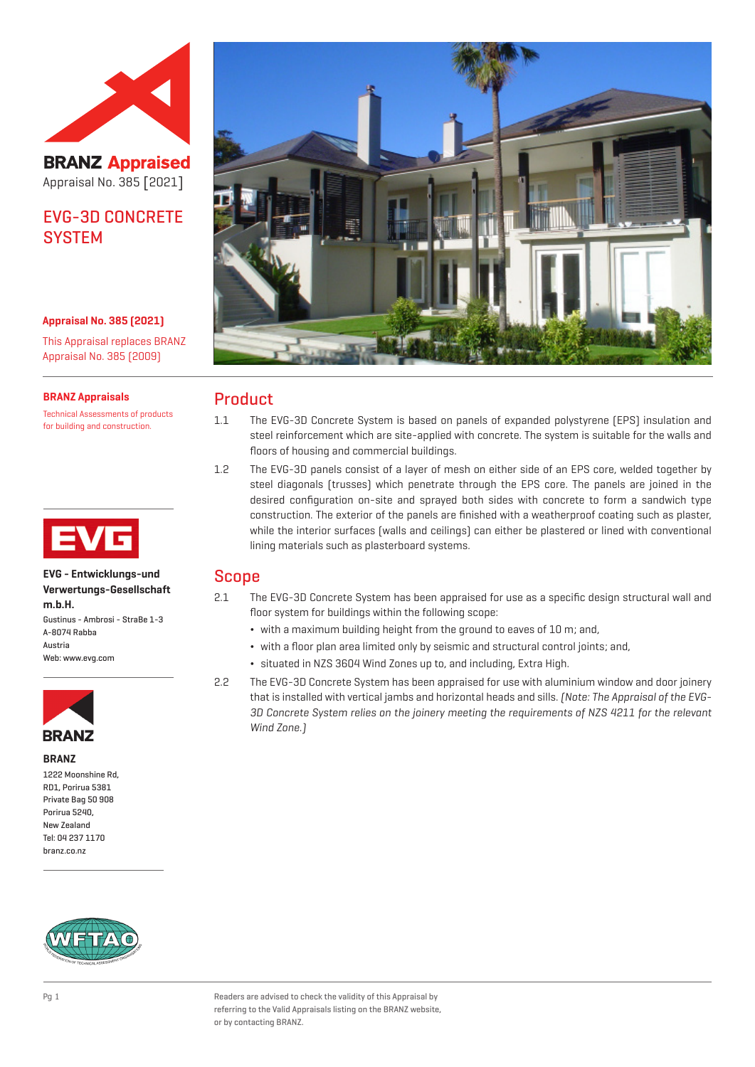

**BRANZ Appraised** Appraisal No. 385 [2021]

## EVG-3D CONCRETE **SYSTEM**

#### **Appraisal No. 385 (2021)**

This Appraisal replaces BRANZ Appraisal No. 385 (2009)

#### **BRANZ Appraisals**

Technical Assessments of products for building and construction.



#### **EVG - Entwicklungs-und Verwertungs-Gesellschaft m.b.H.**

Gustinus - Ambrosi - StraBe 1-3 A-8074 Rabba Austria Web: www.evg.com



#### **BRANZ**

1222 Moonshine Rd, RD1, Porirua 5381 Private Bag 50 908 Porirua 5240, New Zealand Tel: 04 237 1170 branz.co.nz



## Product

- 1.1 The EVG-3D Concrete System is based on panels of expanded polystyrene (EPS) insulation and steel reinforcement which are site-applied with concrete. The system is suitable for the walls and floors of housing and commercial buildings.
- 1.2 The EVG-3D panels consist of a layer of mesh on either side of an EPS core, welded together by steel diagonals (trusses) which penetrate through the EPS core. The panels are joined in the desired configuration on-site and sprayed both sides with concrete to form a sandwich type construction. The exterior of the panels are finished with a weatherproof coating such as plaster, while the interior surfaces (walls and ceilings) can either be plastered or lined with conventional lining materials such as plasterboard systems.

## Scope

- 2.1 The EVG-3D Concrete System has been appraised for use as a specific design structural wall and floor system for buildings within the following scope:
	- ¬ with a maximum building height from the ground to eaves of 10 m; and,
	- ¬ with a floor plan area limited only by seismic and structural control joints; and,
	- ¬ situated in NZS 3604 Wind Zones up to, and including, Extra High.
- 2.2 The EVG-3D Concrete System has been appraised for use with aluminium window and door joinery that is installed with vertical jambs and horizontal heads and sills. (Note: The Appraisal of the EVG-3D Concrete System relies on the joinery meeting the requirements of NZS 4211 for the relevant Wind Zone.)

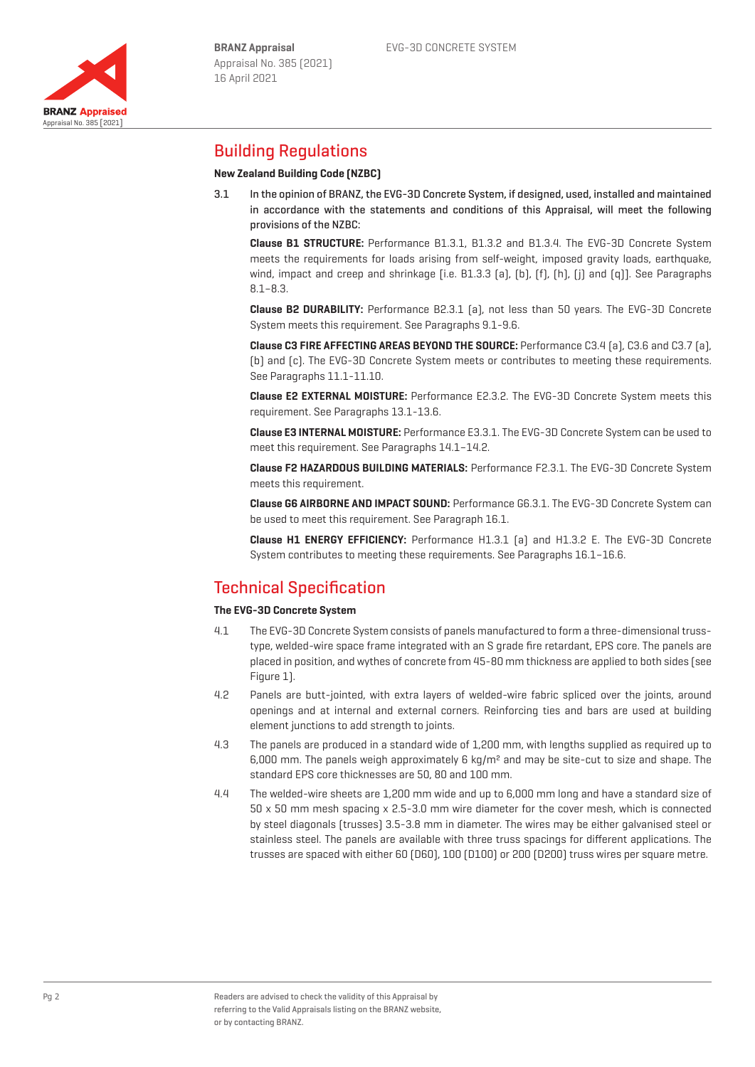

## Building Regulations

### **New Zealand Building Code (NZBC)**

3.1 In the opinion of BRANZ, the EVG-3D Concrete System, if designed, used, installed and maintained in accordance with the statements and conditions of this Appraisal, will meet the following provisions of the NZBC:

**Clause B1 STRUCTURE:** Performance B1.3.1, B1.3.2 and B1.3.4. The EVG-3D Concrete System meets the requirements for loads arising from self-weight, imposed gravity loads, earthquake, wind, impact and creep and shrinkage [i.e. B1.3.3 (a), [f), [f), [j], [i] and [g]]. See Paragraphs 8.1–8.3.

**Clause B2 DURABILITY:** Performance B2.3.1 (a), not less than 50 years. The EVG-3D Concrete System meets this requirement. See Paragraphs 9.1-9.6.

**Clause C3 FIRE AFFECTING AREAS BEYOND THE SOURCE:** Performance C3.4 (a), C3.6 and C3.7 (a), (b) and (c). The EVG-3D Concrete System meets or contributes to meeting these requirements. See Paragraphs 11.1-11.10.

**Clause E2 EXTERNAL MOISTURE:** Performance E2.3.2. The EVG-3D Concrete System meets this requirement. See Paragraphs 13.1-13.6.

**Clause E3 INTERNAL MOISTURE:** Performance E3.3.1. The EVG-3D Concrete System can be used to meet this requirement. See Paragraphs 14.1–14.2.

**Clause F2 HAZARDOUS BUILDING MATERIALS:** Performance F2.3.1. The EVG-3D Concrete System meets this requirement.

**Clause G6 AIRBORNE AND IMPACT SOUND:** Performance G6.3.1. The EVG-3D Concrete System can be used to meet this requirement. See Paragraph 16.1.

**Clause H1 ENERGY EFFICIENCY:** Performance H1.3.1 (a) and H1.3.2 E. The EVG-3D Concrete System contributes to meeting these requirements. See Paragraphs 16.1–16.6.

# Technical Specification

## **The EVG-3D Concrete System**

- 4.1 The EVG-3D Concrete System consists of panels manufactured to form a three-dimensional trusstype, welded-wire space frame integrated with an S grade fire retardant, EPS core. The panels are placed in position, and wythes of concrete from 45-80 mm thickness are applied to both sides (see Figure 1).
- 4.2 Panels are butt-jointed, with extra layers of welded-wire fabric spliced over the joints, around openings and at internal and external corners. Reinforcing ties and bars are used at building element junctions to add strength to joints.
- 4.3 The panels are produced in a standard wide of 1,200 mm, with lengths supplied as required up to 6,000 mm. The panels weigh approximately 6 kg/m<sup>2</sup> and may be site-cut to size and shape. The standard EPS core thicknesses are 50, 80 and 100 mm.
- 4.4 The welded-wire sheets are 1,200 mm wide and up to 6,000 mm long and have a standard size of 50 x 50 mm mesh spacing x 2.5-3.0 mm wire diameter for the cover mesh, which is connected by steel diagonals (trusses) 3.5-3.8 mm in diameter. The wires may be either galvanised steel or stainless steel. The panels are available with three truss spacings for different applications. The trusses are spaced with either 60 (D60), 100 (D100) or 200 (D200) truss wires per square metre.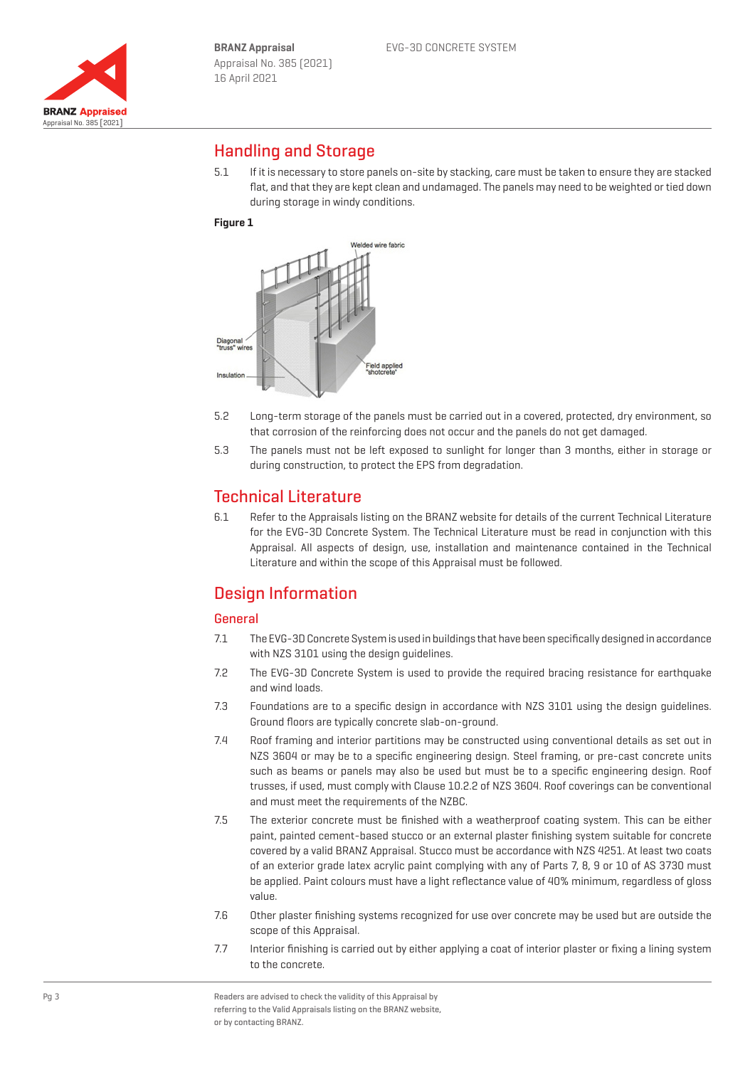

## Handling and Storage

5.1 If it is necessary to store panels on-site by stacking, care must be taken to ensure they are stacked flat, and that they are kept clean and undamaged. The panels may need to be weighted or tied down during storage in windy conditions.

#### **Figure 1**



- 5.2 Long-term storage of the panels must be carried out in a covered, protected, dry environment, so that corrosion of the reinforcing does not occur and the panels do not get damaged.
- 5.3 The panels must not be left exposed to sunlight for longer than 3 months, either in storage or during construction, to protect the EPS from degradation.

## Technical Literature

6.1 Refer to the Appraisals listing on the BRANZ website for details of the current Technical Literature for the EVG-3D Concrete System. The Technical Literature must be read in conjunction with this Appraisal. All aspects of design, use, installation and maintenance contained in the Technical Literature and within the scope of this Appraisal must be followed.

## Design Information

### General

- 7.1 The EVG-3D Concrete System is used in buildings that have been specifically designed in accordance with NZS 3101 using the design guidelines.
- 7.2 The EVG-3D Concrete System is used to provide the required bracing resistance for earthquake and wind loads.
- 7.3 Foundations are to a specific design in accordance with NZS 3101 using the design guidelines. Ground floors are typically concrete slab-on-ground.
- 7.4 Roof framing and interior partitions may be constructed using conventional details as set out in NZS 3604 or may be to a specific engineering design. Steel framing, or pre-cast concrete units such as beams or panels may also be used but must be to a specific engineering design. Roof trusses, if used, must comply with Clause 10.2.2 of NZS 3604. Roof coverings can be conventional and must meet the requirements of the NZBC.
- 7.5 The exterior concrete must be finished with a weatherproof coating system. This can be either paint, painted cement-based stucco or an external plaster finishing system suitable for concrete covered by a valid BRANZ Appraisal. Stucco must be accordance with NZS 4251. At least two coats of an exterior grade latex acrylic paint complying with any of Parts 7, 8, 9 or 10 of AS 3730 must be applied. Paint colours must have a light reflectance value of 40% minimum, regardless of gloss value.
- 7.6 Other plaster finishing systems recognized for use over concrete may be used but are outside the scope of this Appraisal.
- 7.7 Interior finishing is carried out by either applying a coat of interior plaster or fixing a lining system to the concrete.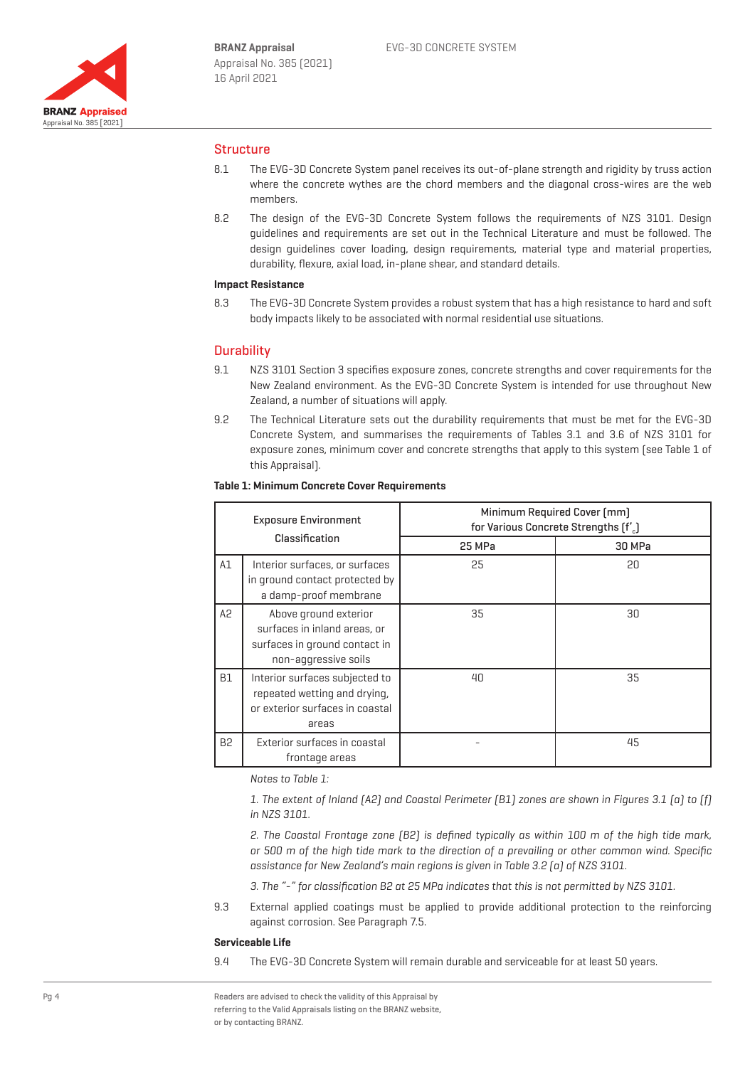

## **Structure**

- 8.1 The EVG-3D Concrete System panel receives its out-of-plane strength and rigidity by truss action where the concrete wythes are the chord members and the diagonal cross-wires are the web members.
- 8.2 The design of the EVG-3D Concrete System follows the requirements of NZS 3101. Design guidelines and requirements are set out in the Technical Literature and must be followed. The design guidelines cover loading, design requirements, material type and material properties, durability, flexure, axial load, in-plane shear, and standard details.

#### **Impact Resistance**

8.3 The EVG-3D Concrete System provides a robust system that has a high resistance to hard and soft body impacts likely to be associated with normal residential use situations.

#### **Durability**

- 9.1 NZS 3101 Section 3 specifies exposure zones, concrete strengths and cover requirements for the New Zealand environment. As the EVG-3D Concrete System is intended for use throughout New Zealand, a number of situations will apply.
- 9.2 The Technical Literature sets out the durability requirements that must be met for the EVG-3D Concrete System, and summarises the requirements of Tables 3.1 and 3.6 of NZS 3101 for exposure zones, minimum cover and concrete strengths that apply to this system (see Table 1 of this Appraisal).

| <b>Exposure Environment</b><br>Classification |                                                                                                                | Minimum Required Cover [mm]<br>for Various Concrete Strengths [f' ] |        |  |
|-----------------------------------------------|----------------------------------------------------------------------------------------------------------------|---------------------------------------------------------------------|--------|--|
|                                               |                                                                                                                | 25 MPa                                                              | 30 MPa |  |
| A1                                            | Interior surfaces, or surfaces<br>in ground contact protected by<br>a damp-proof membrane                      | 25                                                                  | 20     |  |
| A <sub>2</sub>                                | Above ground exterior<br>surfaces in inland areas, or<br>surfaces in ground contact in<br>non-aggressive soils | 35                                                                  | 30     |  |
| <b>B1</b>                                     | Interior surfaces subjected to<br>repeated wetting and drying,<br>or exterior surfaces in coastal<br>areas     | 40                                                                  | 35     |  |
| B <sub>2</sub>                                | Exterior surfaces in coastal<br>frontage areas                                                                 |                                                                     | 45     |  |

#### **Table 1: Minimum Concrete Cover Requirements**

Notes to Table 1:

1. The extent of Inland (A2) and Coastal Perimeter (B1) zones are shown in Figures 3.1 (a) to (f) in NZS 3101.

2. The Coastal Frontage zone (B2) is defined typically as within 100 m of the high tide mark, or 500 m of the high tide mark to the direction of a prevailing or other common wind. Specific assistance for New Zealand's main regions is given in Table 3.2 (a) of NZS 3101.

- 3. The "-" for classification B2 at 25 MPa indicates that this is not permitted by NZS 3101.
- 9.3 External applied coatings must be applied to provide additional protection to the reinforcing against corrosion. See Paragraph 7.5.

#### **Serviceable Life**

9.4 The EVG-3D Concrete System will remain durable and serviceable for at least 50 years.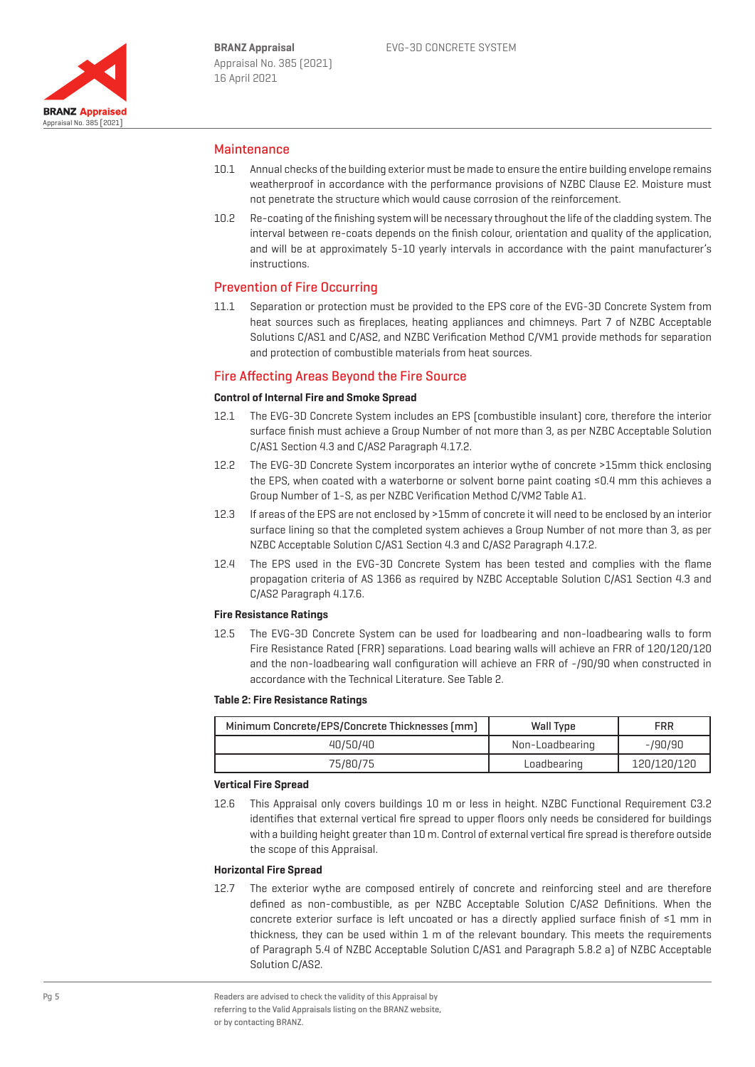

## Maintenance

- 10.1 Annual checks of the building exterior must be made to ensure the entire building envelope remains weatherproof in accordance with the performance provisions of NZBC Clause E2. Moisture must not penetrate the structure which would cause corrosion of the reinforcement.
- 10.2 Re-coating of the finishing system will be necessary throughout the life of the cladding system. The interval between re-coats depends on the finish colour, orientation and quality of the application, and will be at approximately 5-10 yearly intervals in accordance with the paint manufacturer's instructions.

## Prevention of Fire Occurring

11.1 Separation or protection must be provided to the EPS core of the EVG-3D Concrete System from heat sources such as fireplaces, heating appliances and chimneys. Part 7 of NZBC Acceptable Solutions C/AS1 and C/AS2, and NZBC Verification Method C/VM1 provide methods for separation and protection of combustible materials from heat sources.

## Fire Affecting Areas Beyond the Fire Source

#### **Control of Internal Fire and Smoke Spread**

- 12.1 The EVG-3D Concrete System includes an EPS (combustible insulant) core, therefore the interior surface finish must achieve a Group Number of not more than 3, as per NZBC Acceptable Solution C/AS1 Section 4.3 and C/AS2 Paragraph 4.17.2.
- 12.2 The EVG-3D Concrete System incorporates an interior wythe of concrete >15mm thick enclosing the EPS, when coated with a waterborne or solvent borne paint coating ≤0.4 mm this achieves a Group Number of 1-S, as per NZBC Verification Method C/VM2 Table A1.
- 12.3 If areas of the EPS are not enclosed by >15mm of concrete it will need to be enclosed by an interior surface lining so that the completed system achieves a Group Number of not more than 3, as per NZBC Acceptable Solution C/AS1 Section 4.3 and C/AS2 Paragraph 4.17.2.
- 12.4 The EPS used in the EVG-3D Concrete System has been tested and complies with the flame propagation criteria of AS 1366 as required by NZBC Acceptable Solution C/AS1 Section 4.3 and C/AS2 Paragraph 4.17.6.

#### **Fire Resistance Ratings**

12.5 The EVG-3D Concrete System can be used for loadbearing and non-loadbearing walls to form Fire Resistance Rated (FRR) separations. Load bearing walls will achieve an FRR of 120/120/120 and the non-loadbearing wall configuration will achieve an FRR of -/90/90 when constructed in accordance with the Technical Literature. See Table 2.

#### **Table 2: Fire Resistance Ratings**

| Minimum Concrete/EPS/Concrete Thicknesses (mm) | Wall Type       | <b>FRR</b>  |
|------------------------------------------------|-----------------|-------------|
| 40/50/40                                       | Non-Loadbearing | -/90/90     |
| 75/80/75                                       | Loadbearing     | 120/120/120 |

#### **Vertical Fire Spread**

12.6 This Appraisal only covers buildings 10 m or less in height. NZBC Functional Requirement C3.2 identifies that external vertical fire spread to upper floors only needs be considered for buildings with a building height greater than 10 m. Control of external vertical fire spread is therefore outside the scope of this Appraisal.

#### **Horizontal Fire Spread**

12.7 The exterior wythe are composed entirely of concrete and reinforcing steel and are therefore defined as non-combustible, as per NZBC Acceptable Solution C/AS2 Definitions. When the concrete exterior surface is left uncoated or has a directly applied surface finish of ≤1 mm in thickness, they can be used within 1 m of the relevant boundary. This meets the requirements of Paragraph 5.4 of NZBC Acceptable Solution C/AS1 and Paragraph 5.8.2 a) of NZBC Acceptable Solution C/AS2.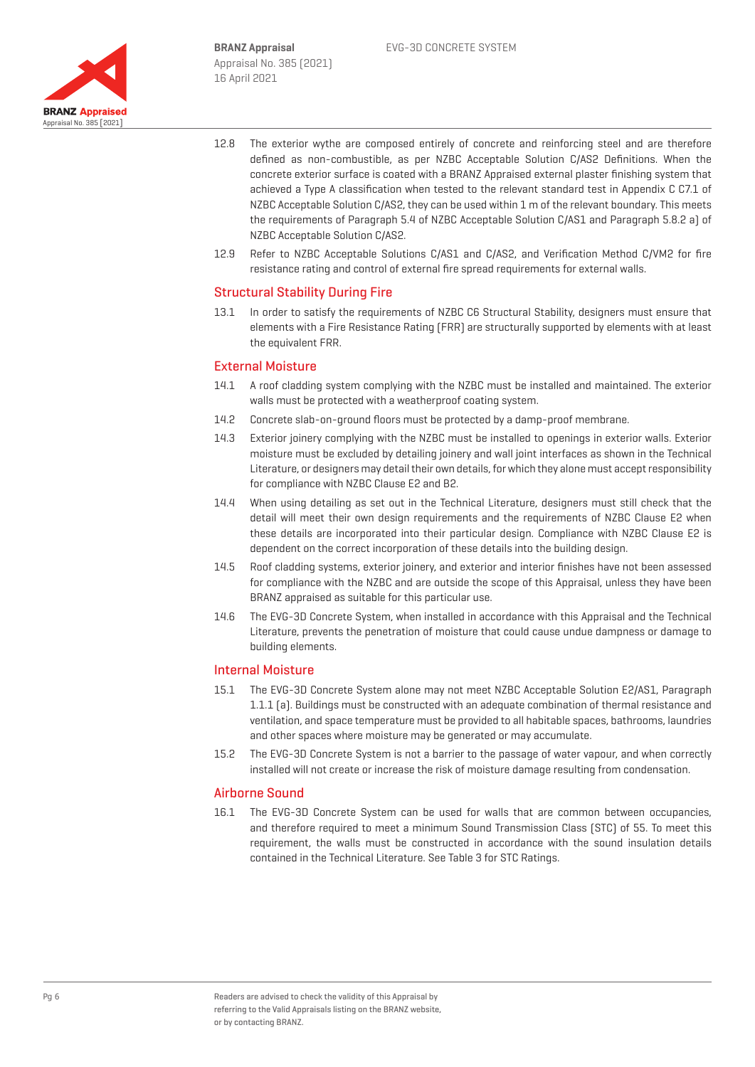

- 12.8 The exterior wythe are composed entirely of concrete and reinforcing steel and are therefore defined as non-combustible, as per NZBC Acceptable Solution C/AS2 Definitions. When the concrete exterior surface is coated with a BRANZ Appraised external plaster finishing system that achieved a Type A classification when tested to the relevant standard test in Appendix C C7.1 of NZBC Acceptable Solution C/AS2, they can be used within 1 m of the relevant boundary. This meets the requirements of Paragraph 5.4 of NZBC Acceptable Solution C/AS1 and Paragraph 5.8.2 a) of NZBC Acceptable Solution C/AS2.
- 12.9 Refer to NZBC Acceptable Solutions C/AS1 and C/AS2, and Verification Method C/VM2 for fire resistance rating and control of external fire spread requirements for external walls.

### Structural Stability During Fire

13.1 In order to satisfy the requirements of NZBC C6 Structural Stability, designers must ensure that elements with a Fire Resistance Rating (FRR) are structurally supported by elements with at least the equivalent FRR.

#### External Moisture

- 14.1 A roof cladding system complying with the NZBC must be installed and maintained. The exterior walls must be protected with a weatherproof coating system.
- 14.2 Concrete slab-on-ground floors must be protected by a damp-proof membrane.
- 14.3 Exterior joinery complying with the NZBC must be installed to openings in exterior walls. Exterior moisture must be excluded by detailing joinery and wall joint interfaces as shown in the Technical Literature, or designers may detail their own details, for which they alone must accept responsibility for compliance with NZBC Clause E2 and B2.
- 14.4 When using detailing as set out in the Technical Literature, designers must still check that the detail will meet their own design requirements and the requirements of NZBC Clause E2 when these details are incorporated into their particular design. Compliance with NZBC Clause E2 is dependent on the correct incorporation of these details into the building design.
- 14.5 Roof cladding systems, exterior joinery, and exterior and interior finishes have not been assessed for compliance with the NZBC and are outside the scope of this Appraisal, unless they have been BRANZ appraised as suitable for this particular use.
- 14.6 The EVG-3D Concrete System, when installed in accordance with this Appraisal and the Technical Literature, prevents the penetration of moisture that could cause undue dampness or damage to building elements.

#### Internal Moisture

- 15.1 The EVG-3D Concrete System alone may not meet NZBC Acceptable Solution E2/AS1, Paragraph 1.1.1 (a). Buildings must be constructed with an adequate combination of thermal resistance and ventilation, and space temperature must be provided to all habitable spaces, bathrooms, laundries and other spaces where moisture may be generated or may accumulate.
- 15.2 The EVG-3D Concrete System is not a barrier to the passage of water vapour, and when correctly installed will not create or increase the risk of moisture damage resulting from condensation.

#### Airborne Sound

16.1 The EVG-3D Concrete System can be used for walls that are common between occupancies, and therefore required to meet a minimum Sound Transmission Class (STC) of 55. To meet this requirement, the walls must be constructed in accordance with the sound insulation details contained in the Technical Literature. See Table 3 for STC Ratings.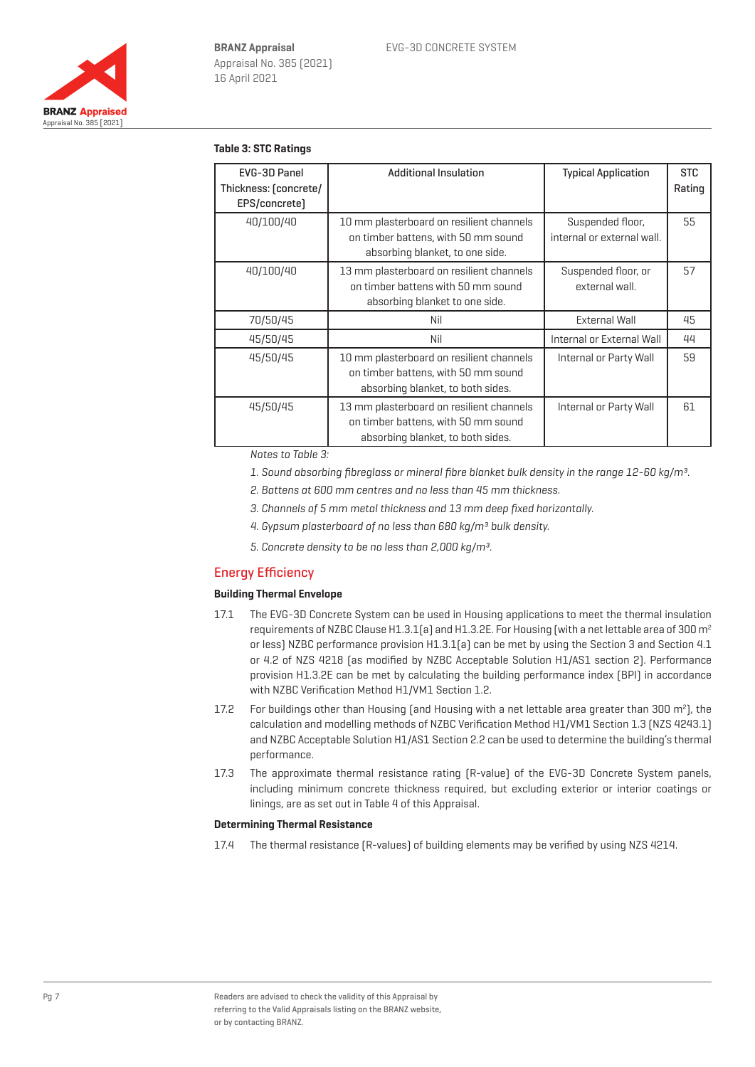

#### **Table 3: STC Ratings**

| EVG-3D Panel<br>Thickness: (concrete/<br>EPS/concrete] | Additional Insulation                                                                                                |                                       | <b>STC</b><br>Rating |
|--------------------------------------------------------|----------------------------------------------------------------------------------------------------------------------|---------------------------------------|----------------------|
| 40/100/40                                              | 10 mm plasterboard on resilient channels<br>on timber battens, with 50 mm sound<br>absorbing blanket, to one side.   |                                       | 55                   |
| 40/100/40                                              | 13 mm plasterboard on resilient channels<br>on timber battens with 50 mm sound<br>absorbing blanket to one side.     | Suspended floor, or<br>external wall. | 57                   |
| 70/50/45                                               | Nil                                                                                                                  | <b>External Wall</b>                  | 45                   |
| 45/50/45                                               | Nil                                                                                                                  | Internal or External Wall             | 44                   |
| 45/50/45                                               | 10 mm plasterboard on resilient channels<br>on timber battens, with 50 mm sound<br>absorbing blanket, to both sides. | Internal or Party Wall                | 59                   |
| 45/50/45                                               | 13 mm plasterboard on resilient channels<br>on timber battens, with 50 mm sound<br>absorbing blanket, to both sides. | Internal or Party Wall                | 61                   |

Notes to Table 3:

- 1. Sound absorbing fibreglass or mineral fibre blanket bulk density in the range 12-60 kg/m<sup>3</sup>.
- 2. Battens at 600 mm centres and no less than 45 mm thickness.
- 3. Channels of 5 mm metal thickness and 13 mm deep fixed horizontally.
- 4. Gypsum plasterboard of no less than 680 kg/m<sup>3</sup> bulk density.
- 5. Concrete density to be no less than 2,000 kg/m³.

## Energy Efficiency

#### **Building Thermal Envelope**

- 17.1 The EVG-3D Concrete System can be used in Housing applications to meet the thermal insulation requirements of NZBC Clause H1.3.1(a) and H1.3.2E. For Housing (with a net lettable area of 300 m2 or less) NZBC performance provision H1.3.1(a) can be met by using the Section 3 and Section 4.1 or 4.2 of NZS 4218 (as modified by NZBC Acceptable Solution H1/AS1 section 2). Performance provision H1.3.2E can be met by calculating the building performance index (BPI) in accordance with NZBC Verification Method H1/VM1 Section 1.2.
- 17.2 For buildings other than Housing (and Housing with a net lettable area greater than 300 m<sup>2</sup>), the calculation and modelling methods of NZBC Verification Method H1/VM1 Section 1.3 (NZS 4243.1) and NZBC Acceptable Solution H1/AS1 Section 2.2 can be used to determine the building's thermal performance.
- 17.3 The approximate thermal resistance rating (R-value) of the EVG-3D Concrete System panels, including minimum concrete thickness required, but excluding exterior or interior coatings or linings, are as set out in Table 4 of this Appraisal.

#### **Determining Thermal Resistance**

17.4 The thermal resistance (R-values) of building elements may be verified by using NZS 4214.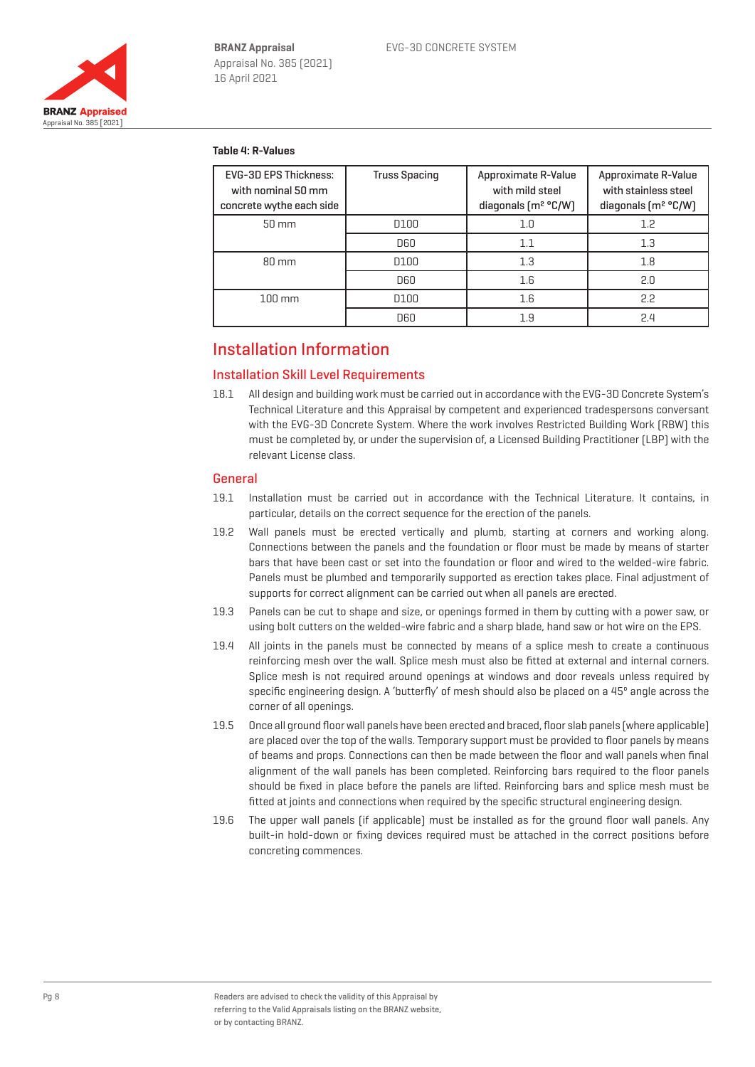

### **Table 4: R-Values**

| <b>EVG-3D EPS Thickness:</b><br>with nominal 50 mm<br>concrete wythe each side | <b>Truss Spacing</b> | Approximate R-Value<br>with mild steel<br>diagonals $[m^2 C/W]$ | Approximate R-Value<br>with stainless steel<br>diagonals $\lceil m^2 \, {}^{\circ} \mathbb{C}/W \rceil$ |
|--------------------------------------------------------------------------------|----------------------|-----------------------------------------------------------------|---------------------------------------------------------------------------------------------------------|
| 50 mm                                                                          | D <sub>100</sub>     | 1.0                                                             | 1.2                                                                                                     |
|                                                                                | <b>D60</b>           | 1.1                                                             | 1.3                                                                                                     |
| 80 mm                                                                          | <b>D100</b>          | 1.3                                                             | 1.8                                                                                                     |
|                                                                                | <b>D60</b>           | 1.6                                                             | 2.0                                                                                                     |
| $100 \text{ mm}$                                                               | D100                 | 1.6                                                             | 2.2                                                                                                     |
|                                                                                | <b>D60</b>           | 1.9                                                             | 2.4                                                                                                     |

## Installation Information

### Installation Skill Level Requirements

18.1 All design and building work must be carried out in accordance with the EVG-3D Concrete System's Technical Literature and this Appraisal by competent and experienced tradespersons conversant with the EVG-3D Concrete System. Where the work involves Restricted Building Work (RBW) this must be completed by, or under the supervision of, a Licensed Building Practitioner (LBP) with the relevant License class.

#### **General**

- 19.1 Installation must be carried out in accordance with the Technical Literature. It contains, in particular, details on the correct sequence for the erection of the panels.
- 19.2 Wall panels must be erected vertically and plumb, starting at corners and working along. Connections between the panels and the foundation or floor must be made by means of starter bars that have been cast or set into the foundation or floor and wired to the welded-wire fabric. Panels must be plumbed and temporarily supported as erection takes place. Final adjustment of supports for correct alignment can be carried out when all panels are erected.
- 19.3 Panels can be cut to shape and size, or openings formed in them by cutting with a power saw, or using bolt cutters on the welded-wire fabric and a sharp blade, hand saw or hot wire on the EPS.
- 19.4 All joints in the panels must be connected by means of a splice mesh to create a continuous reinforcing mesh over the wall. Splice mesh must also be fitted at external and internal corners. Splice mesh is not required around openings at windows and door reveals unless required by specific engineering design. A 'butterfly' of mesh should also be placed on a 45º angle across the corner of all openings.
- 19.5 Once all ground floor wall panels have been erected and braced, floor slab panels (where applicable) are placed over the top of the walls. Temporary support must be provided to floor panels by means of beams and props. Connections can then be made between the floor and wall panels when final alignment of the wall panels has been completed. Reinforcing bars required to the floor panels should be fixed in place before the panels are lifted. Reinforcing bars and splice mesh must be fitted at joints and connections when required by the specific structural engineering design.
- 19.6 The upper wall panels (if applicable) must be installed as for the ground floor wall panels. Any built-in hold-down or fixing devices required must be attached in the correct positions before concreting commences.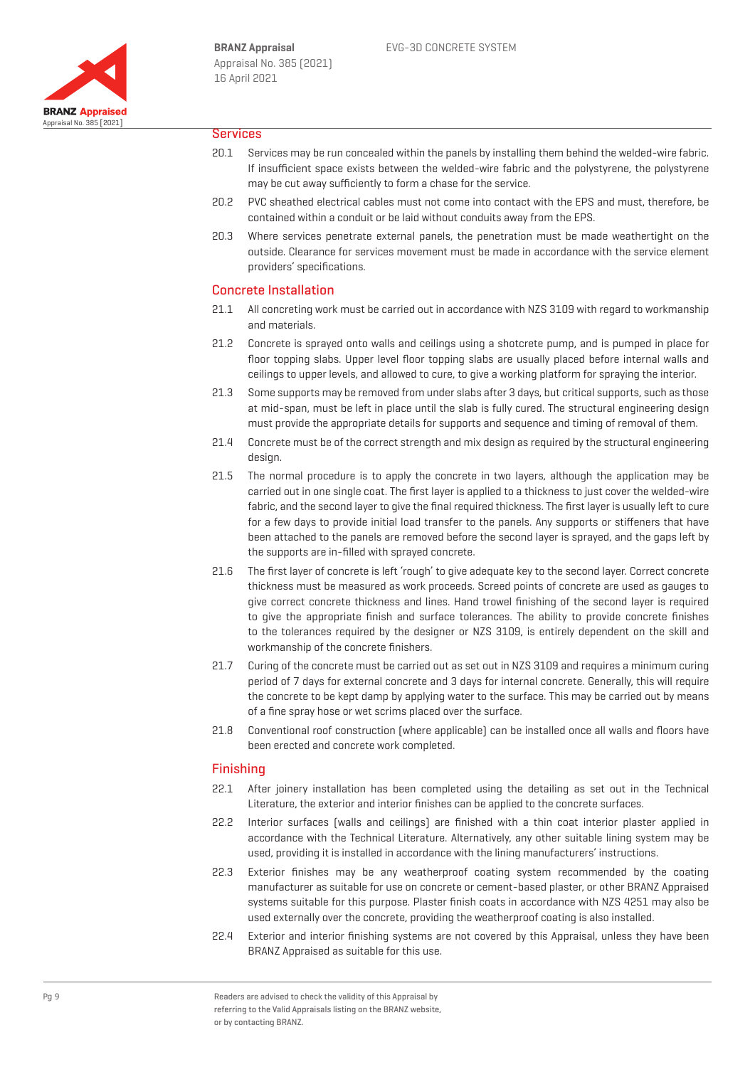

#### **Services**

- 20.1 Services may be run concealed within the panels by installing them behind the welded-wire fabric. If insufficient space exists between the welded-wire fabric and the polystyrene, the polystyrene may be cut away sufficiently to form a chase for the service.
- 20.2 PVC sheathed electrical cables must not come into contact with the EPS and must, therefore, be contained within a conduit or be laid without conduits away from the EPS.
- 20.3 Where services penetrate external panels, the penetration must be made weathertight on the outside. Clearance for services movement must be made in accordance with the service element providers' specifications.

#### Concrete Installation

- 21.1 All concreting work must be carried out in accordance with NZS 3109 with regard to workmanship and materials.
- 21.2 Concrete is sprayed onto walls and ceilings using a shotcrete pump, and is pumped in place for floor topping slabs. Upper level floor topping slabs are usually placed before internal walls and ceilings to upper levels, and allowed to cure, to give a working platform for spraying the interior.
- 21.3 Some supports may be removed from under slabs after 3 days, but critical supports, such as those at mid-span, must be left in place until the slab is fully cured. The structural engineering design must provide the appropriate details for supports and sequence and timing of removal of them.
- 21.4 Concrete must be of the correct strength and mix design as required by the structural engineering design.
- 21.5 The normal procedure is to apply the concrete in two layers, although the application may be carried out in one single coat. The first layer is applied to a thickness to just cover the welded-wire fabric, and the second layer to give the final required thickness. The first layer is usually left to cure for a few days to provide initial load transfer to the panels. Any supports or stiffeners that have been attached to the panels are removed before the second layer is sprayed, and the gaps left by the supports are in-filled with sprayed concrete.
- 21.6 The first layer of concrete is left 'rough' to give adequate key to the second layer. Correct concrete thickness must be measured as work proceeds. Screed points of concrete are used as gauges to give correct concrete thickness and lines. Hand trowel finishing of the second layer is required to give the appropriate finish and surface tolerances. The ability to provide concrete finishes to the tolerances required by the designer or NZS 3109, is entirely dependent on the skill and workmanship of the concrete finishers.
- 21.7 Curing of the concrete must be carried out as set out in NZS 3109 and requires a minimum curing period of 7 days for external concrete and 3 days for internal concrete. Generally, this will require the concrete to be kept damp by applying water to the surface. This may be carried out by means of a fine spray hose or wet scrims placed over the surface.
- 21.8 Conventional roof construction (where applicable) can be installed once all walls and floors have been erected and concrete work completed.

#### Finishing

- 22.1 After joinery installation has been completed using the detailing as set out in the Technical Literature, the exterior and interior finishes can be applied to the concrete surfaces.
- 22.2 Interior surfaces (walls and ceilings) are finished with a thin coat interior plaster applied in accordance with the Technical Literature. Alternatively, any other suitable lining system may be used, providing it is installed in accordance with the lining manufacturers' instructions.
- 22.3 Exterior finishes may be any weatherproof coating system recommended by the coating manufacturer as suitable for use on concrete or cement-based plaster, or other BRANZ Appraised systems suitable for this purpose. Plaster finish coats in accordance with NZS 4251 may also be used externally over the concrete, providing the weatherproof coating is also installed.
- 22.4 Exterior and interior finishing systems are not covered by this Appraisal, unless they have been BRANZ Appraised as suitable for this use.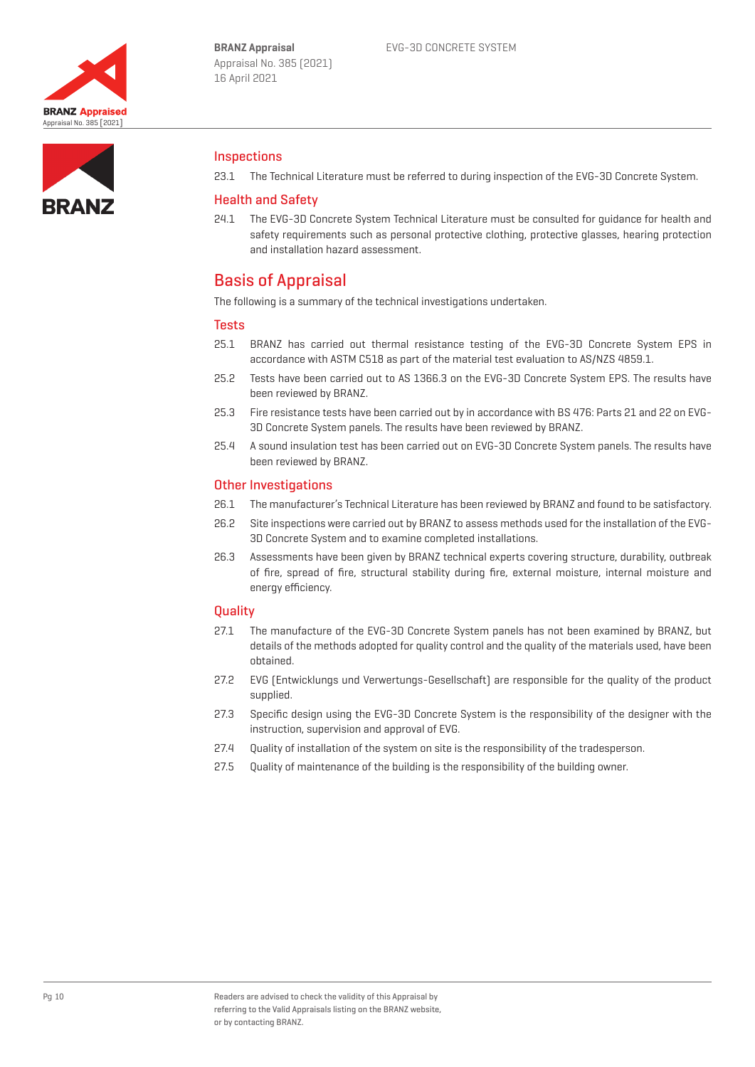



#### Inspections

23.1 The Technical Literature must be referred to during inspection of the EVG-3D Concrete System.

## Health and Safety

24.1 The EVG-3D Concrete System Technical Literature must be consulted for guidance for health and safety requirements such as personal protective clothing, protective glasses, hearing protection and installation hazard assessment.

## Basis of Appraisal

The following is a summary of the technical investigations undertaken.

### **Tests**

- 25.1 BRANZ has carried out thermal resistance testing of the EVG-3D Concrete System EPS in accordance with ASTM C518 as part of the material test evaluation to AS/NZS 4859.1.
- 25.2 Tests have been carried out to AS 1366.3 on the EVG-3D Concrete System EPS. The results have been reviewed by BRANZ.
- 25.3 Fire resistance tests have been carried out by in accordance with BS 476: Parts 21 and 22 on EVG-3D Concrete System panels. The results have been reviewed by BRANZ.
- 25.4 A sound insulation test has been carried out on EVG-3D Concrete System panels. The results have been reviewed by BRANZ.

#### Other Investigations

- 26.1 The manufacturer's Technical Literature has been reviewed by BRANZ and found to be satisfactory.
- 26.2 Site inspections were carried out by BRANZ to assess methods used for the installation of the EVG-3D Concrete System and to examine completed installations.
- 26.3 Assessments have been given by BRANZ technical experts covering structure, durability, outbreak of fire, spread of fire, structural stability during fire, external moisture, internal moisture and energy efficiency.

#### **Quality**

- 27.1 The manufacture of the EVG-3D Concrete System panels has not been examined by BRANZ, but details of the methods adopted for quality control and the quality of the materials used, have been obtained.
- 27.2 EVG (Entwicklungs und Verwertungs-Gesellschaft) are responsible for the quality of the product supplied.
- 27.3 Specific design using the EVG-3D Concrete System is the responsibility of the designer with the instruction, supervision and approval of EVG.
- 27.4 Quality of installation of the system on site is the responsibility of the tradesperson.
- 27.5 Quality of maintenance of the building is the responsibility of the building owner.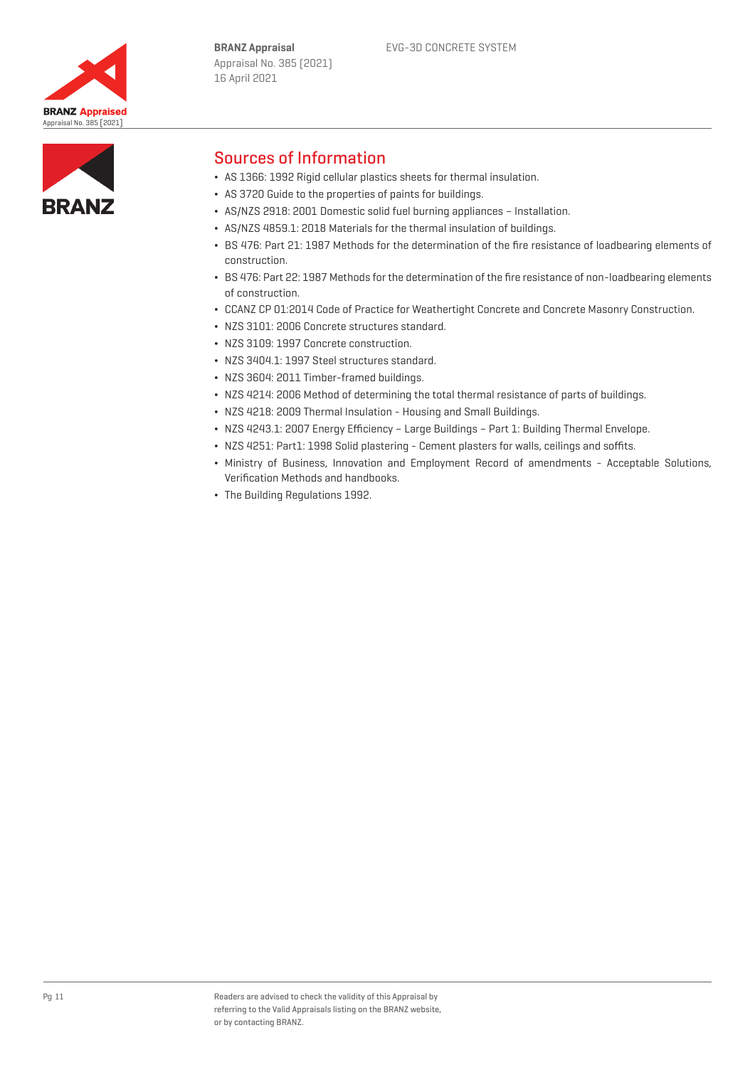



## Sources of Information

- ¬ AS 1366: 1992 Rigid cellular plastics sheets for thermal insulation.
- ¬ AS 3720 Guide to the properties of paints for buildings.
- ¬ AS/NZS 2918: 2001 Domestic solid fuel burning appliances Installation.
- ¬ AS/NZS 4859.1: 2018 Materials for the thermal insulation of buildings.
- ¬ BS 476: Part 21: 1987 Methods for the determination of the fire resistance of loadbearing elements of construction.
- ¬ BS 476: Part 22: 1987 Methods for the determination of the fire resistance of non-loadbearing elements of construction.
- ¬ CCANZ CP 01:2014 Code of Practice for Weathertight Concrete and Concrete Masonry Construction.
- ¬ NZS 3101: 2006 Concrete structures standard.
- ¬ NZS 3109: 1997 Concrete construction.
- ¬ NZS 3404.1: 1997 Steel structures standard.
- ¬ NZS 3604: 2011 Timber-framed buildings.
- ¬ NZS 4214: 2006 Method of determining the total thermal resistance of parts of buildings.
- ¬ NZS 4218: 2009 Thermal Insulation Housing and Small Buildings.
- ¬ NZS 4243.1: 2007 Energy Efficiency Large Buildings Part 1: Building Thermal Envelope.
- ¬ NZS 4251: Part1: 1998 Solid plastering Cement plasters for walls, ceilings and soffits.
- ¬ Ministry of Business, Innovation and Employment Record of amendments Acceptable Solutions, Verification Methods and handbooks.
- ¬ The Building Regulations 1992.